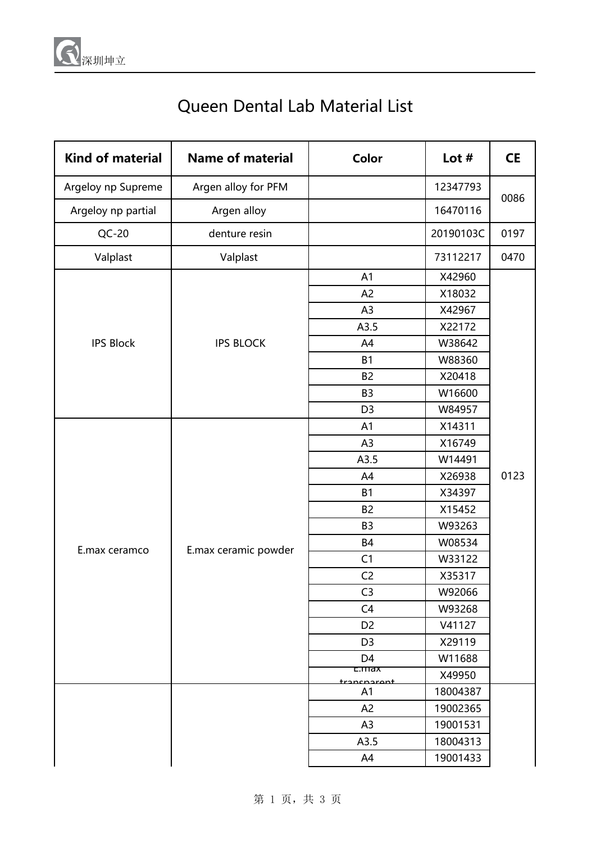

## Queen Dental Lab Material List

| <b>Kind of material</b> | <b>Name of material</b> | Color                           | Lot $#$   | <b>CE</b> |
|-------------------------|-------------------------|---------------------------------|-----------|-----------|
| Argeloy np Supreme      | Argen alloy for PFM     |                                 | 12347793  | 0086      |
| Argeloy np partial      | Argen alloy             |                                 | 16470116  |           |
| $QC-20$                 | denture resin           |                                 | 20190103C | 0197      |
| Valplast                | Valplast                |                                 | 73112217  | 0470      |
|                         | <b>IPS BLOCK</b>        | A1                              | X42960    |           |
|                         |                         | A <sub>2</sub>                  | X18032    |           |
|                         |                         | A3                              | X42967    |           |
|                         |                         | A3.5                            | X22172    |           |
| <b>IPS Block</b>        |                         | A4                              | W38642    |           |
|                         |                         | B1                              | W88360    |           |
|                         |                         | B <sub>2</sub>                  | X20418    |           |
|                         |                         | B <sub>3</sub>                  | W16600    |           |
|                         |                         | D <sub>3</sub>                  | W84957    |           |
|                         | E.max ceramic powder    | A <sub>1</sub>                  | X14311    |           |
|                         |                         | A3                              | X16749    |           |
|                         |                         | A3.5                            | W14491    |           |
|                         |                         | A4                              | X26938    | 0123      |
|                         |                         | B1                              | X34397    |           |
|                         |                         | B <sub>2</sub>                  | X15452    |           |
|                         |                         | B <sub>3</sub>                  | W93263    |           |
| E.max ceramco           |                         | <b>B4</b>                       | W08534    |           |
|                         |                         | C1                              | W33122    |           |
|                         |                         | C <sub>2</sub>                  | X35317    |           |
|                         |                         | C <sub>3</sub>                  | W92066    |           |
|                         |                         | C <sub>4</sub>                  | W93268    |           |
|                         |                         | D <sub>2</sub>                  | V41127    |           |
|                         |                         | D <sub>3</sub>                  | X29119    |           |
|                         |                         | D <sub>4</sub>                  | W11688    |           |
|                         |                         | <del>c.max</del><br>trancnaront | X49950    |           |
|                         |                         | A1                              | 18004387  |           |
|                         |                         | A <sub>2</sub>                  | 19002365  |           |
|                         |                         | A <sub>3</sub>                  | 19001531  |           |
|                         |                         | A3.5                            | 18004313  |           |
|                         |                         | A4                              | 19001433  |           |

第 1 页, 共 3 页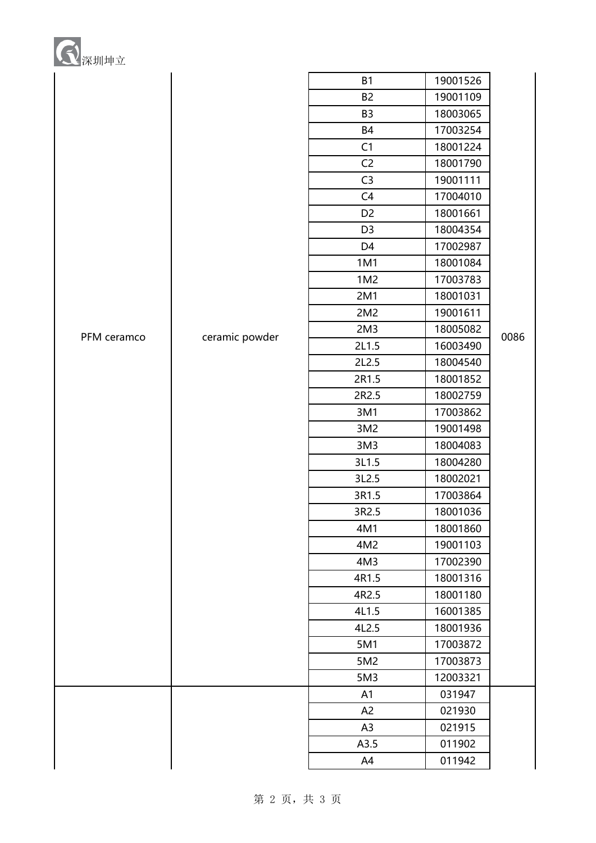| 深圳坤立 |
|------|
|------|

|             |                | <b>B1</b>       | 19001526 |      |
|-------------|----------------|-----------------|----------|------|
|             |                | <b>B2</b>       | 19001109 |      |
|             |                | B <sub>3</sub>  | 18003065 |      |
|             |                | <b>B4</b>       | 17003254 |      |
|             |                | C1              | 18001224 | 0086 |
|             |                | C <sub>2</sub>  | 18001790 |      |
|             |                | C <sub>3</sub>  | 19001111 |      |
|             |                | C <sub>4</sub>  | 17004010 |      |
|             |                | D <sub>2</sub>  | 18001661 |      |
|             |                | D <sub>3</sub>  | 18004354 |      |
|             |                | D <sub>4</sub>  | 17002987 |      |
|             |                | 1M1             | 18001084 |      |
|             |                | 1M2             | 17003783 |      |
|             |                | 2M1             | 18001031 |      |
|             |                | 2M2             | 19001611 |      |
| PFM ceramco | ceramic powder | 2M <sub>3</sub> | 18005082 |      |
|             |                | 2L1.5           | 16003490 |      |
|             |                | 2L2.5           | 18004540 |      |
|             |                | 2R1.5           | 18001852 |      |
|             |                | 2R2.5           | 18002759 |      |
|             |                | 3M1             | 17003862 |      |
|             |                | 3M2             | 19001498 |      |
|             |                | 3M <sub>3</sub> | 18004083 |      |
|             |                | 3L1.5           | 18004280 |      |
|             |                | 3L2.5           | 18002021 |      |
|             |                | 3R1.5           | 17003864 |      |
|             |                | 3R2.5           | 18001036 |      |
|             |                | 4M1             | 18001860 |      |
|             |                | 4M2             | 19001103 |      |
|             |                | 4M3             | 17002390 |      |
|             |                | 4R1.5           | 18001316 |      |
|             |                | 4R2.5           | 18001180 |      |
|             |                | 4L1.5           | 16001385 |      |
|             |                | 4L2.5           | 18001936 |      |
|             |                | 5M1             | 17003872 |      |
|             |                | 5M2             | 17003873 |      |
|             |                | 5M3             | 12003321 |      |
|             |                | A1              | 031947   |      |
|             |                | A <sub>2</sub>  | 021930   |      |
|             |                | A <sub>3</sub>  | 021915   |      |
|             |                | A3.5            | 011902   |      |
|             |                | A4              | 011942   |      |

第 2 页, 共 3 页